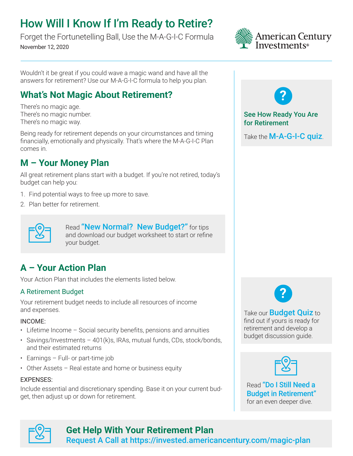# How Will I Know If I'm Ready to Retire?

Forget the Fortunetelling Ball, Use the M-A-G-I-C Formula November 12, 2020



Wouldn't it be great if you could wave a magic wand and have all the answers for retirement? Use our M-A-G-I-C formula to help you plan.

## **What's Not Magic About Retirement?**

There's no magic age. There's no magic number. There's no magic way.

Being ready for retirement depends on your circumstances and timing financially, emotionally and physically. That's where the M-A-G-I-C Plan comes in.

## **M – Your Money Plan**

All great retirement plans start with a budget. If you're not retired, today's budget can help you:

1. Find potential ways to free up more to save.

your budget.

2. Plan better for retirement.



Read "New Normal? New Budget?" for tips [and download our budget worksheet to start or refine](https://www.americancentury.com/content/direct/en/insights/guidance-planning/covid-19-resources/new-normal-budget.html) 

## **A – Your Action Plan**

Your Action Plan that includes the elements listed below.

### A Retirement Budget

Your retirement budget needs to include all resources of income and expenses.

#### INCOME:

- Lifetime Income Social security benefits, pensions and annuities
- Savings/Investments 401(k)s, IRAs, mutual funds, CDs, stock/bonds, and their estimated returns
- Earnings Full- or part-time job
- Other Assets Real estate and home or business equity

#### EXPENSES:

Include essential and discretionary spending. Base it on your current budget, then adjust up or down for retirement.



#### See How Ready You Are for Retirement

Take the [M-A-G-I-C quiz](https://www.americancentury.com/content/direct/en/insights/guidance-planning/retirement/nearing-retirement/ready-to-retire-magic-quiz.html).



Take our **Budget Quiz** to [find out if yours is ready for](https://www.americancentury.com/content/direct/en/insights/guidance-planning/retirement/nearing-retirement/budget-in-retirement.html)  retirement and develop a budget discussion guide.



Read "Do I Still Need a [Budget in Retirement"](https://www.americancentury.com/content/direct/en/insights/guidance-planning/retirement/nearing-retirement/budget-in-retirement.html)  for an even deeper dive.



## **Get Help With Your Retirement Plan**

[Request A Call at https://invested.americancentury.com/magic-plan](https://invested.americancentury.com/magic-plan)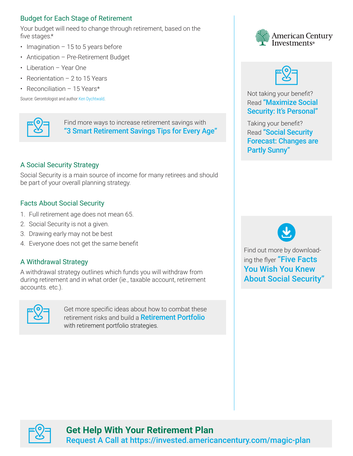### Budget for Each Stage of Retirement

Your budget will need to change through retirement, based on the five stages.\*

- Imagination  $-15$  to 5 years before
- Anticipation Pre-Retirement Budget
- Liberation Year One
- Reorientation 2 to 15 Years
- Reconciliation 15 Years\*

Source: Gerontologist and author Ken Dychtwald.



Find more ways to increase retirement savings with ["3 Smart Retirement Savings Tips for Every Age"](https://www.americancentury.com/content/direct/en/insights/guidance-planning/retirement/retirement-insights/retirement-savings-every-age.html)

### A Social Security Strategy

Social Security is a main source of income for many retirees and should be part of your overall planning strategy.

#### Facts About Social Security

- 1. Full retirement age does not mean 65.
- 2. Social Security is not a given.
- 3. Drawing early may not be best
- 4. Everyone does not get the same benefit

#### A Withdrawal Strategy

A withdrawal strategy outlines which funds you will withdraw from during retirement and in what order (ie., taxable account, retirement accounts. etc.).



Get more [specific ideas about how to combat these](https://www.americancentury.com/content/direct/en/insights/guidance-planning/retirement/nearing-retirement/portfolio-strategies.html)  retirement risks and build a **Retirement Portfolio** with retirement portfolio strategies.





Not taking your benefit? Read "Maximize Social [Security: It's Personal"](https://www.americancentury.com/content/direct/en/insights/guidance-planning/retirement/retirement-insights/maximizing-social-security.html)

Taking your benefit? Read "Social Security [Forecast: Changes are](https://www.americancentury.com/content/direct/en/insights/guidance-planning/retirement/in-retirement/social-security-outlook.html)  Partly Sunny"



Find out more by downloading the flyer "Five Facts You Wish You Knew [About Social Security"](https://www.americancentury.com/content/dam/ac/pdfs/corporate/flyer/infographic-five-facts-about-social-security-retail.pdf)



## **Get Help With Your Retirement Plan**

[Request A Call at https://invested.americancentury.com/magic-plan](https://invested.americancentury.com/magic-plan)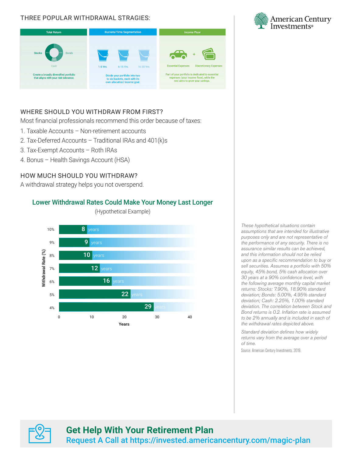#### THREE POPULAR WITHDRAWAL STRAGIES:



### WHERE SHOULD YOU WITHDRAW FROM FIRST?

Most financial professionals recommend this order because of taxes:

- 1. Taxable Accounts Non-retirement accounts
- 2. Tax-Deferred Accounts Traditional IRAs and 401(k)s
- 3. Tax-Exempt Accounts Roth IRAs
- 4. Bonus Health Savings Account (HSA)

#### HOW MUCH SHOULD YOU WITHDRAW?

A withdrawal strategy helps you not overspend.

#### Lower Withdrawal Rates Could Make Your Money Last Longer

(Hypothetical Example)



*These hypothetical situations contain assumptions that are intended for illustrative purposes only and are not representative of the performance of any security. There is no assurance similar results can be achieved, and this information should not be relied upon as a specific recommendation to buy or sell securities. Assumes a portfolio with 50% equity, 45% bond, 5% cash allocation over 30 years at a 90% confidence level, with the following average monthly capital market returns: Stocks: 7.90%, 18.90% standard deviation; Bonds: 5.00%, 4.95% standard deviation; Cash: 2.25%, 1.00% standard deviation. The correlation between Stock and Bond returns is 0.2. Inflation rate is assumed to be 2% annually and is included in each of the withdrawal rates depicted above.*

*Standard deviation defines how widely returns vary from the average over a period of time.*

Source: American Century Investments, 2019.



### **Get Help With Your Retirement Plan** [Request A Call at https://invested.americancentury.com/magic-plan](https://invested.americancentury.com/magic-plan)

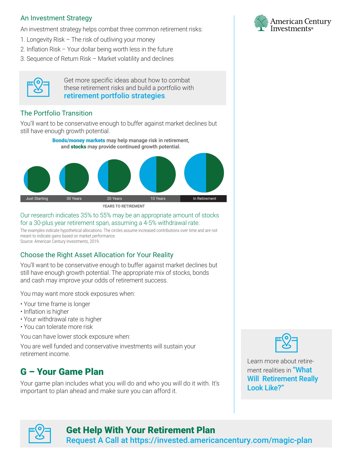### An Investment Strategy

An investment strategy helps combat three common retirement risks:

- 1. Longevity Risk The risk of outliving your money
- 2. Inflation Risk Your dollar being worth less in the future
- 3. Sequence of Return Risk Market volatility and declines



Get more specific ideas about how to combat [these retirement risks and build a portfolio with](https://www.americancentury.com/content/direct/en/insights/guidance-planning/retirement/nearing-retirement/turn-retirement-savings-into-income.html)  retirement portfolio strategies.

### The Portfolio Transition

You'll want to be conservative enough to buffer against market declines but still have enough growth potential.



#### Our research indicates 35% to 55% may be an appropriate amount of stocks for a 30-plus year retirement span, assuming a 4-5% withdrawal rate.

The examples indicate hypothetical allocations. The circles assume increased contributions over time and are not meant to indicate gains based on market performance. Source: American Century Investments, 2019.

### Choose the Right Asset Allocation for Your Reality

You'll want to be conservative enough to buffer against market declines but still have enough growth potential. The appropriate mix of stocks, bonds and cash may improve your odds of retirement success.

You may want more stock exposures when:

- Your time frame is longer
- Inflation is higher
- Your withdrawal rate is higher
- You can tolerate more risk

You can have lower stock exposure when:

You are well funded and conservative investments will sustain your retirement income.

## G – Your Game Plan

Your game plan includes what you will do and who you will do it with. It's important to plan ahead and make sure you can afford it.





Learn more about retirement realities in "What [Will Retirement Really](https://www.americancentury.com/content/direct/en/insights/guidance-planning/retirement/nearing-retirement/what-retirement-really-looks-like.html)  Look Like?"



### Get Help With Your Retirement Plan

[Request A Call at https://invested.americancentury.com/magic-plan](https://invested.americancentury.com/magic-plan)